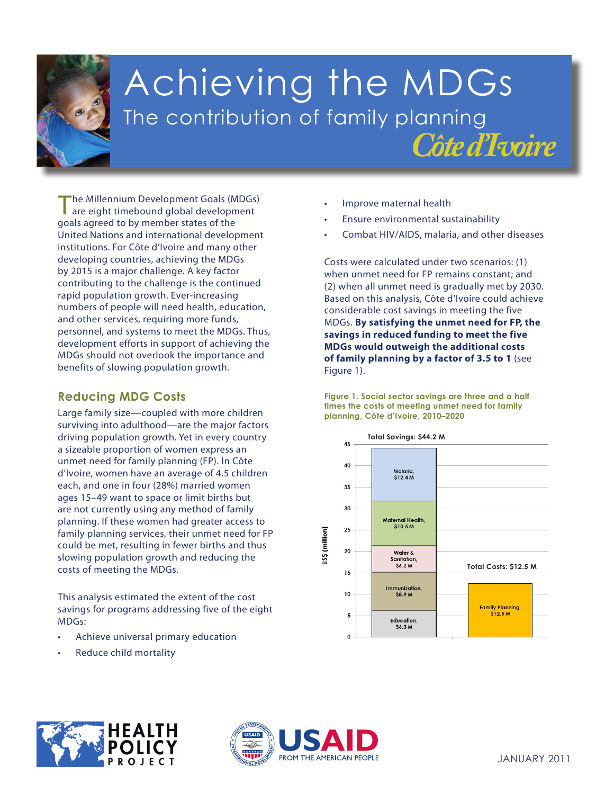

# Achieving the MDGs The contribution of family planning *Côte d'Ivoire*

The Millennium Development Goals (MDGs) are eight timebound global development goals agreed to by member states of the United Nations and international development institutions. For Côte d'Ivoire and many other developing countries, achieving the MDGs by 2015 is a major challenge. A key factor contributing to the challenge is the continued rapid population growth. Ever-increasing numbers of people will need health, education, and other services, requiring more funds, personnel, and systems to meet the MDGs. Thus, development efforts in support of achieving the MDGs should not overlook the importance and benefits of slowing population growth.

### **Reducing MDG Costs**

**1. Eradicate extreme** slowing population growth and reducing the **2. Achieve universal** costs of meeting the MDGs. Large family size—coupled with more children surviving into adulthood—are the major factors driving population growth. Yet in every country a sizeable proportion of women express an unmet need for family planning (FP). In Côte d'Ivoire, women have an average of 4.5 children each, and one in four (28%) married women ages 15–49 want to space or limit births but are not currently using any method of family planning. If these women had greater access to family planning services, their unmet need for FP could be met, resulting in fewer births and thus

This analysis estimated the extent of the cost **Equines for program** savings for programs addressing five of the eight **4. Reduce child mortality** MDGs:

- **5. Improve maternal** Achieve universal primary education
	- **health** • Reduce child mortality
- Improve maternal health
- Ensure environmental sustainability
- Combat HIV/AIDS, malaria, and other diseases

Costs were calculated under two scenarios: (1) when unmet need for FP remains constant; and (2) when all unmet need is gradually met by 2030. Based on this analysis, Côte d'Ivoire could achieve considerable cost savings in meeting the five MDGs. **By satisfying the unmet need for FP, the savings in reduced funding to meet the five MDGs would outweigh the additional costs of family planning by a factor of 3.5 to 1** (see Figure 1).

**Figure 1. Social sector savings are three and a half times the costs of meeting unmet need for family planning, Côte d'Ivoire, 2010–2020**